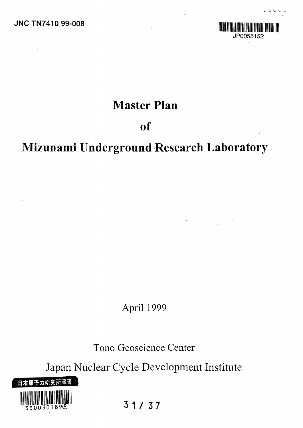

**V >- -J j .**

# Master Plan

# of

# Mizunami Underground Research Laboratory

 $\frac{1}{2}$ 

April 1999

Tono Geoscience Center

Japan Nuclear Cycle Development Institute



**31/3 7**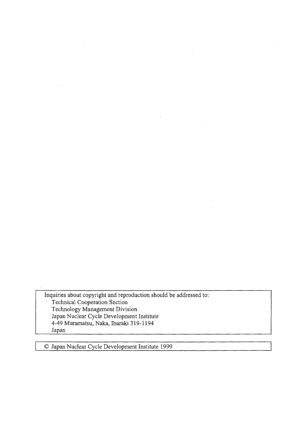Inquiries about copyright and reproduction should be addressed to: Technical Cooperation Section Technology Management Division Japan Nuclear Cycle Development Institute 4-49 Muramatsu, Naka, Ibaraki 319-1194 Japan

© Japan Nuclear Cycle Development Institute 1999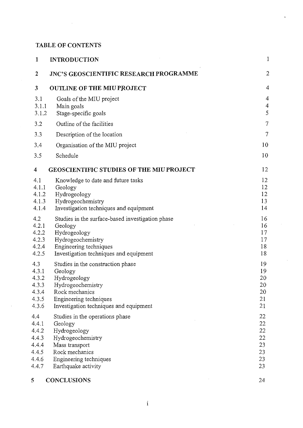### **TABLE OF CONTENTS**

 $\mathcal{L}^{\text{max}}_{\text{max}}$  and  $\mathcal{L}^{\text{max}}_{\text{max}}$ 

| 1                                                                  | <b>INTRODUCTION</b>                                                                                                                                                     | 1                                            |
|--------------------------------------------------------------------|-------------------------------------------------------------------------------------------------------------------------------------------------------------------------|----------------------------------------------|
| 2                                                                  | <b>JNC'S GEOSCIENTIFIC RESEARCH PROGRAMME</b>                                                                                                                           | $\overline{c}$                               |
| 3                                                                  | <b>OUTLINE OF THE MIU PROJECT</b>                                                                                                                                       | 4                                            |
| 3.1<br>3.1.1<br>3.1.2                                              | Goals of the MIU project<br>Main goals<br>Stage-specific goals                                                                                                          | $\overline{4}$<br>$\overline{4}$<br>5        |
| 3.2                                                                | Outline of the facilities                                                                                                                                               | $\tau$                                       |
| 3.3                                                                | Description of the location                                                                                                                                             | $\tau$                                       |
| 3.4                                                                | Organisation of the MIU project                                                                                                                                         | 10                                           |
| 3.5                                                                | Schedule                                                                                                                                                                | 10                                           |
| 4                                                                  | <b>GEOSCIENTIFIC STUDIES OF THE MIU PROJECT</b>                                                                                                                         | 12                                           |
| 4.1<br>4.1.1<br>4.1.2<br>4.1.3<br>4.1.4                            | Knowledge to date and future tasks<br>Geology<br>Hydrogeology<br>Hydrogeochemistry<br>Investigation techniques and equipment                                            | 12<br>12<br>12<br>13<br>14                   |
| 4.2<br>4.2.1<br>4.2.2<br>4.2.3<br>4.2.4<br>4.2.5                   | Studies in the surface-based investigation phase<br>Geology<br>Hydrogeology<br>Hydrogeochemistry<br>Engineering techniques<br>Investigation techniques and equipment    | 16<br>16<br>17<br>17<br>18<br>18             |
| 4.3<br>4.3.1<br>4.3.2<br>4.3.3<br>4.3.4<br>4.3.5<br>4.3.6          | Studies in the construction phase<br>Geology<br>Hydrogeology<br>Hydrogeochemistry<br>Rock mechanics<br>Engineering techniques<br>Investigation techniques and equipment | 19<br>19<br>20<br>20<br>20<br>21<br>21       |
| 4.4<br>4.4.1<br>4.4.2<br>4.4.3<br>4.4.4<br>4.4.5<br>4.4.6<br>4.4.7 | Studies in the operations phase<br>Geology<br>Hydrogeology<br>Hydrogeochemistry<br>Mass transport<br>Rock mechanics<br>Engineering techniques<br>Earthquake activity    | 22<br>22<br>22<br>22<br>23<br>23<br>23<br>23 |
| 5                                                                  | <b>CONCLUSIONS</b>                                                                                                                                                      | 24                                           |

 $\bar{z}$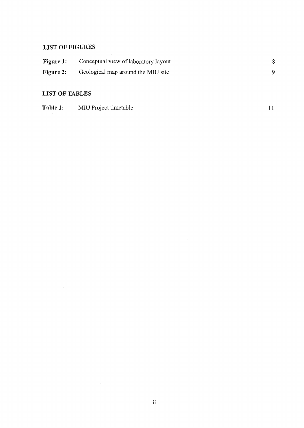## **LIST OF FIGURES**

| Figure 1: | Conceptual view of laboratory layout |  |
|-----------|--------------------------------------|--|
| Figure 2: | Geological map around the MIU site   |  |

 $\sim 10^{-1}$ 

 $\bar{\mathcal{A}}$ 

 $\sim$   $\sim$ 

### **LIST OF TABLES**

 $\mathcal{A}$ 

| Table 1: | MIU Project timetable |  |
|----------|-----------------------|--|
|          |                       |  |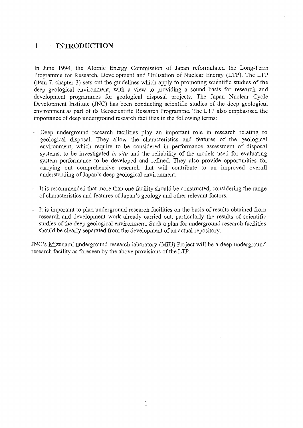#### $\mathbf{1}$ INTRODUCTION  $\sim$

In June 1994, the Atomic Energy Commission of Japan reformulated the Long-Term Programme for Research, Development and Utilisation of Nuclear Energy (LTP). The LTP (item 7, chapter 3) sets out the guidelines which apply to promoting scientific studies of the deep geological environment, with a view to providing a sound basis for research and development programmes for geological disposal projects. The Japan Nuclear Cycle Development Institute (JNC) has been conducting scientific studies of the deep geological environment as part of its Geoscientific Research Programme. The LTP also emphasised the importance of deep underground research facilities in the following terms:

- Deep underground research facilities play an important role in research relating to geological disposal. They allow the characteristics and features of the geological environment, which require to be considered in performance assessment of disposal systems, to be investigated *in situ* and the reliability of the models used for evaluating system performance to be developed and refined. They also provide opportunities for carrying out comprehensive research that will contribute to an improved overall understanding of Japan's deep geological environment.
- It is recommended that more than one facility should be constructed, considering the range of characteristics and features of Japan's geology and other relevant factors.
- It is important to plan underground research facilities on the basis of results obtained from research and development work already carried out, particularly the results of scientific studies of the deep geological environment. Such a plan for underground research facilities should be clearly separated from the development of an actual repository.

JNC's Mizunami underground research laboratory (MIU) Project will be a deep underground research facility as foreseen by the above provisions of the LTP.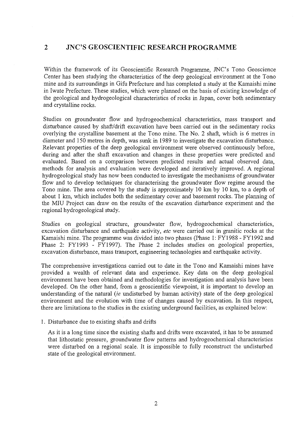#### $\overline{2}$ JNC'S GEOSCIENTIFIC RESEARCH PROGRAMME

Within the framework of its Geoscientific Research Programme, JNC's Tono Geoscience Center has been studying the characteristics of the deep geological environment at the Tono mine and its surroundings in Gifu Prefecture and has completed a study at the Kamaishi mine in Iwate Prefecture. These studies, which were planned on the basis of existing knowledge of the geological and hydrogeological characteristics of rocks in Japan, cover both sedimentary and crystalline rocks.

Studies on groundwater flow and hydrogeochemical characteristics, mass transport and disturbance caused by shaft/drift excavation have been carried out in the sedimentary rocks overlying the crystalline basement at the Tono mine. The No. 2 shaft, which is 6 metres in diameter and 150 metres in depth, was sunk in 1989 to investigate the excavation disturbance. Relevant properties of the deep geological environment were observed continuously before, during and after the shaft excavation and changes in these properties were predicted and evaluated. Based on a comparison between predicted results and actual observed data, methods for analysis and evaluation were developed and iteratively improved. A regional hydrogeological study has now been conducted to investigate the mechanisms of groundwater flow and to develop techniques for characterising the groundwater flow regime around the Tono mine. The area covered by the study is approximately 10 km by 10 km, to a depth of about 1 km, which includes both the sedimentary cover and basement rocks. The planning of the MIU Project can draw on the results of the excavation disturbance experiment and the regional hydrogeological study.

Studies on geological structure, groundwater flow, hydrogeochemical characteristics, excavation disturbance and earthquake activity, *etc* were carried out in granitic rocks at the Kamaishi mine. The programme was divided into two phases (Phase 1: FY1988 - FY1992 and Phase 2: FY1993 - FY1997). The Phase 2 includes studies on geological properties, excavation disturbance, mass transport, engineering technologies and earthquake activity.

The comprehensive investigations carried out to date in the Tono and Kamaishi mines have provided a wealth of relevant data and experience. Key data on the deep geological environment have been obtained and methodologies for investigation and analysis have been developed. On the other hand, from a geoscientific viewpoint, it is important to develop an understanding of the natural *(ie* undisturbed by human activity) state of the deep geological environment and the evolution with time of changes caused by excavation. In this respect, there are limitations to the studies in the existing underground facilities, as explained below:

1. Disturbance due to existing shafts and drifts

As it is a long time since the existing shafts and drifts were excavated, it has to be assumed that lithostatic pressure, groundwater flow patterns and hydrogeochemical characteristics were disturbed on a regional scale. It is impossible to fully reconstruct the undisturbed state of the geological environment.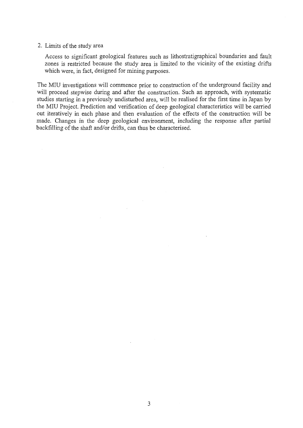#### 2. Limits of the study area

Access to significant geological features such as lithostratigraphical boundaries and fault zones is restricted because the study area is limited to the vicinity of the existing drifts which were, in fact, designed for mining purposes.

The MIU investigations will commence prior to construction of the underground facility and will proceed stepwise during and after the construction. Such an approach, with systematic studies starting in a previously undisturbed area, will be realised for the first time in Japan by the MIU Project. Prediction and verification of deep geological characteristics will be carried out iteratively in each phase and then evaluation of the effects of the construction will be made. Changes in the deep geological environment, including the response after partial backfilling of the shaft and/or drifts, can thus be characterised.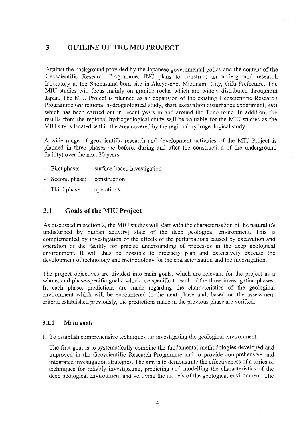#### OUTLINE OF THE MIU PROJECT  $\mathbf{3}$

Against the background provided by the Japanese governmental policy and the content of the Geoscientific Research Programme, JNC plans to construct an underground research laboratory at the Shobasama-bora site in Akeyo-cho, Mizunami City, Gifu Prefecture. The MIU studies will focus mainly on granitic rocks, which are widely distributed throughout Japan. The MIU Project is planned as an expansion of the existing Geoscientific Research Programme *(eg* regional hydrogeological study, shaft excavation disturbance experiment, *etc)* which has been carried out in recent years in and around the Tono mine. In addition, the results from the regional hydrogeological study will be valuable for the MIU studies as the MIU site is located within the area covered by the regional hydrogeological study.

A wide range of geoscientific research and development activities of the MIU Project is planned in three phases *(ie* before, during and after the construction of the underground facility) over the next 20 years:

- First phase: surface-based investigation
- Second phase: construction
- Third phase: operations

### 3.1 Goals of the MIU Project

As discussed in section 2, the MIU studies will start with the characterisation of the natural *(ie* undisturbed by human activity) state of the deep geological environment. This is complemented by investigation of the effects of the perturbations caused by excavation and operation of the facility for precise understanding of processes in the deep geological environment. It will thus be possible to precisely plan and extensively execute the development of technology and methodology for the characterisation and the investigation.

The project objectives are divided into main goals, which are relevant for the project as a whole, and phase-specific goals, which are specific to each of the three investigation phases. In each phase, predictions are made regarding the characteristics of the geological environment which will be encountered in the next phase and, based on the assessment criteria established previously, the predictions made in the previous phase are verified.

#### **3.1.1 Main goals**

1. To establish comprehensive techniques for investigating the geological environment

The first goal is to systematically combine the fundamental methodologies developed and improved in the Geoscientific Research Programme and to provide comprehensive and integrated investigation strategies. The aim is to demonstrate the effectiveness of a series of techniques for reliably investigating, predicting and modelling the characteristics of the deep geological environment and verifying the models of the geological environment. The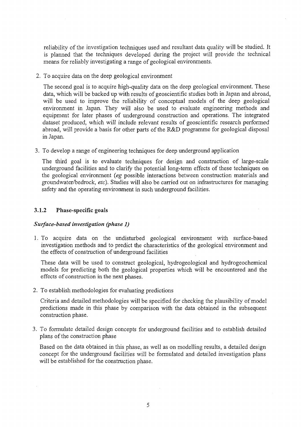reliability of the investigation techniques used and resultant data quality will be studied. It is planned that the techniques developed during the project will provide the technical means for reliably investigating a range of geological environments.

2. To acquire data on the deep geological environment

The second goal is to acquire high-quality data on the deep geological environment. These data, which will be backed up with results of geoscientific studies both in Japan and abroad, will be used to improve the reliability of conceptual models of the deep geological environment in Japan. They will also be used to evaluate engineering methods and equipment for later phases of underground construction and operations. The integrated dataset produced, which will include relevant results of geoscientific research performed abroad, will provide a basis for other parts of the R&D programme for geological disposal in Japan.

3. To develop a range of engineering techniques for deep underground application

The third goal is to evaluate techniques for design and construction of large-scale underground facilities and to clarify the potential long-term effects of these techniques on the geological environment *(eg* possible interactions between construction materials and groundwater/bedrock, *etc).* Studies will also be carried out on infrastructures for managing safety and the operating environment in such underground facilities.

#### 3.1.2 Phase-specific goals

#### *Surface-based investigation (phase 1)*

1. To acquire data on the undisturbed geological environment with surface-based investigation methods and to predict the characteristics of the geological environment and the effects of construction of underground facilities

These data will be used to construct geological, hydrogeological and hydrogeochemical models for predicting both the geological properties which will be encountered and the effects of construction in the next phases.

2. To establish methodologies for evaluating predictions

Criteria and detailed methodologies will be specified for checking the plausibility of model predictions made in this phase by comparison with the data obtained in the subsequent construction phase.

3. To formulate detailed design concepts for underground facilities and to establish detailed plans of the construction phase

Based on the data obtained in this phase, as well as on modelling results, a detailed design concept for the underground facilities will be formulated and detailed investigation plans will be established for the construction phase.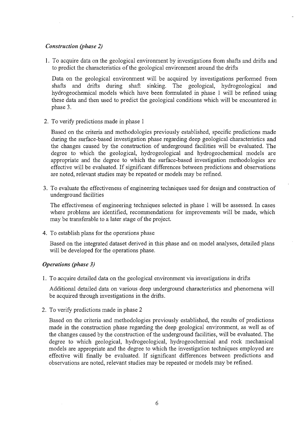#### *Construction (phase 2)*

1. To acquire data on the geological environment by investigations from shafts and drifts and to predict the characteristics of the geological environment around the drifts

Data on the geological environment will be acquired by investigations performed from shafts and drifts during shaft sinking. The geological, hydrogeological and hydrogeochemical models which have been formulated in phase 1 will be refined using these data and then used to predict the geological conditions which will be encountered in phase 3.

2. To verify predictions made in phase 1

Based on the criteria and methodologies previously established, specific predictions made during the surface-based investigation phase regarding deep geological characteristics and the changes caused by the construction of underground facilities will be evaluated. The degree to which the geological, hydrogeological and hydrogeochemical models are appropriate and the degree to which the surface-based investigation methodologies are effective will be evaluated. If significant differences between predictions and observations are noted, relevant studies may be repeated or models may be refined.

3. To evaluate the effectiveness of engineering techniques used for design and construction of underground facilities

The effectiveness of engineering techniques selected in phase 1 will be assessed. In cases where problems are identified, recommendations for improvements will be made, which may be transferable to a later stage of the project.

4. To establish plans for the operations phase

Based on the integrated dataset derived in this phase and on model analyses, detailed plans will be developed for the operations phase.

#### *Operations (phase 3)*

1. To acquire detailed data on the geological environment via investigations in drifts

Additional detailed data on various deep underground characteristics and phenomena will be acquired through investigations in the drifts.

2. To verify predictions made in phase 2

Based on the criteria and methodologies previously established, the results of predictions made in the construction phase regarding the deep geological environment, as well as of the changes caused by the construction of the underground facilities, will be evaluated. The degree to which geological, hydrogeological, hydrogeochemical and rock mechanical models are appropriate and the degree to which the investigation techniques employed are effective will finally be evaluated. If significant differences between predictions and observations are noted, relevant studies may be repeated or models may be refined.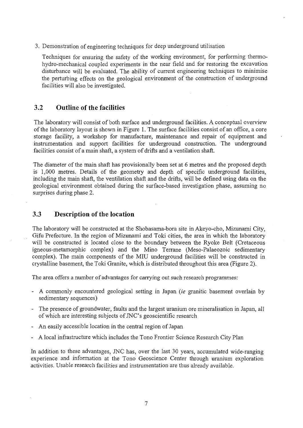3. Demonstration of engineering techniques for deep underground utilisation

Techniques for ensuring the safety of the working environment, for performing thermohydro-mechanical coupled experiments in the near field and for restoring the excavation disturbance will be evaluated. The ability of current engineering techniques to minimise the perturbing effects on the geological environment of the construction of underground facilities will also be investigated.

### 3.2 Outline of the facilities

The laboratory will consist of both surface and underground facilities. A conceptual overview of the laboratory layout is shown in Figure 1. The surface facilities consist of an office, a core storage facility, a workshop for manufacture, maintenance and repair of equipment and instrumentation and support facilities for underground construction. The underground facilities consist of a main shaft, a system of drifts and a ventilation shaft.

The diameter of the main shaft has provisionally been set at 6 metres and the proposed depth is 1,000 metres. Details of the geometry and depth of specific underground facilities, including the main shaft, the ventilation shaft and the drifts, will be defined using data on the geological environment obtained during the surface-based investigation phase, assuming no surprises during phase 2.

#### 3.3 Description of the location

The laboratory will be constructed at the Shobasama-bora site in Akeyo-cho, Mizunami City, Gifu Prefecture. In the region of Mizunami and Toki cities, the area in which the laboratory will be constructed is located close to the boundary between the Ryoke Belt (Cretaceous igneous-metamorphic complex) and the Mino Terrane (Meso-Palaeozoic sedimentary complex). The main components of the MIU underground facilities will be constructed in crystalline basement, the Toki Granite, which is distributed throughout this area (Figure 2).

The area offers a number of advantages for carrying out such research programmes:

- A commonly encountered geological setting in Japan *(ie* granitic basement overlain by sedimentary sequences)
- The presence of groundwater, faults and the largest uranium ore mineralisation in Japan, all of which are interesting subjects of JNC's geoscientific research
- An easily accessible location in the central region of Japan
- A local infrastructure which includes the Tono Frontier Science Research City Plan

In addition to these advantages, JNC has, over the last 30 years, accumulated wide-ranging experience and information at the Tono Geoscience Center through uranium exploration activities. Usable research facilities and instrumentation are thus already available.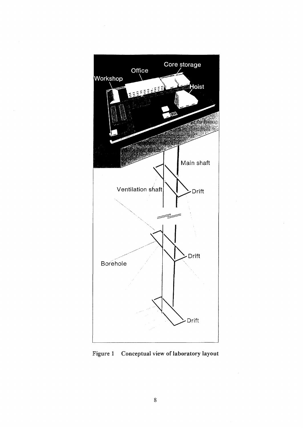

Figure 1 Conceptual view of laboratory layout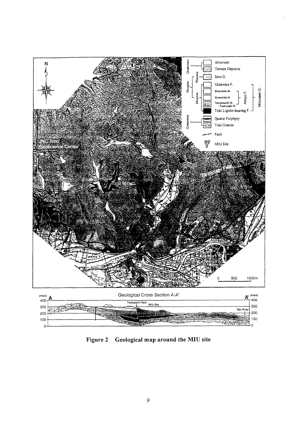

Figure 2 Geological map around the MIU site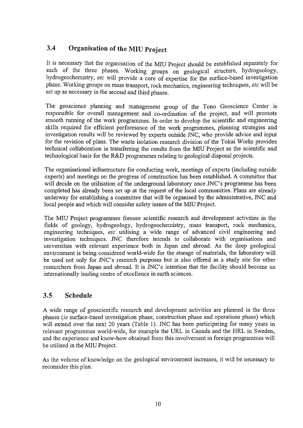## 3.4 Organisation of the MIU Project

It is necessary that the organisation of the MIU Project should be established separately for each of the three phases. Working groups on geological structure, hydrogeology, hydrogeochemistry, *etc* will provide a core of expertise for the surface-based investigation phase. Working groups on mass transport, rock mechanics, engineering techniques, *etc* will be set up as necessary in the second and third phases.

The geoscience planning and management group of the Tono Geoscience Center is responsible for overall management and co-ordination of the project, and will promote smooth running of the work programmes. In order to develop the scientific and engineering skills required for efficient performance of the work programmes, planning strategies and investigation results will be reviewed by experts outside JNC, who provide advice and input for the revision of plans. The waste isolation research division of the Tokai Works provides technical collaboration in transferring the results from the MIU Project as the scientific and technological basis for the R&D programmes relating to geological disposal projects.

The organisational infrastructure for conducting work, meetings of experts (including outside experts) and meetings on the progress of construction has been established. A committee that will decide on the utilisation of the underground laboratory once JNC's programme has been completed has already been set up at the request of the local communities. Plans are already underway for establishing a committee that will be organised by the administrative, JNC and local people and which will consider safety issues of the MIU Project.

The MIU Project programmes foresee scientific research and development activities in the fields of geology, hydrogeology, hydrogeochemistry, mass transport, rock mechanics, engineering techniques, *etc* utilising a wide range of advanced civil engineering and investigation techniques. JNC therefore intends to collaborate with organisations and universities with relevant experience both in Japan and abroad. As the deep geological environment is being considered world-wide for the storage of materials, the laboratory will be used not only for JNC's research purposes but is also offered as a study site for other researchers from Japan and abroad. It is JNC's intention that the facility should become an internationally leading centre of excellence in earth sciences.

### 3.5 Schedule

A wide range of geoscientific research and development activities are planned in the three phases *(ie* surface-based investigation phase, construction phase and operations phase) which will extend over the next 20 years (Table 1). JNC has been participating for many years in relevant programmes world-wide, for example the URL in Canada and the HRL in Sweden, and the experience and know-how obtained from this involvement in foreign programmes will be utilised in the MIU Project.

As the volume of knowledge on the geological environment increases, it will be necessary to reconsider this plan.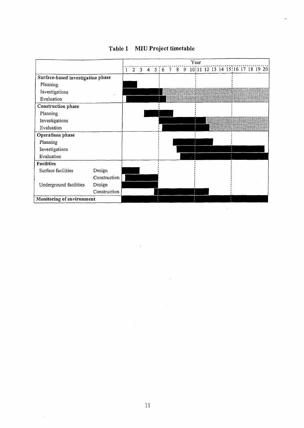|                                   |              | Year |             |                         |   |  |                                            |  |  |  |  |  |  |  |  |  |  |  |  |
|-----------------------------------|--------------|------|-------------|-------------------------|---|--|--------------------------------------------|--|--|--|--|--|--|--|--|--|--|--|--|
|                                   |              | 1    | $2^{\circ}$ | $\overline{\mathbf{3}}$ | 4 |  | 5:6 7 8 9 10:11 12 13 14 15:16 17 18 19 20 |  |  |  |  |  |  |  |  |  |  |  |  |
| Surface-based investigation phase |              |      |             |                         |   |  |                                            |  |  |  |  |  |  |  |  |  |  |  |  |
| Planning                          |              |      |             |                         |   |  |                                            |  |  |  |  |  |  |  |  |  |  |  |  |
| Investigations                    |              |      |             |                         |   |  |                                            |  |  |  |  |  |  |  |  |  |  |  |  |
| Evaluation                        |              |      |             |                         |   |  |                                            |  |  |  |  |  |  |  |  |  |  |  |  |
| Construction phase                |              |      |             |                         |   |  |                                            |  |  |  |  |  |  |  |  |  |  |  |  |
| Planning                          |              |      |             |                         |   |  |                                            |  |  |  |  |  |  |  |  |  |  |  |  |
| Investigations                    |              |      |             |                         |   |  |                                            |  |  |  |  |  |  |  |  |  |  |  |  |
| Evaluation                        |              |      |             |                         |   |  |                                            |  |  |  |  |  |  |  |  |  |  |  |  |
| Operations phase                  |              |      |             |                         |   |  |                                            |  |  |  |  |  |  |  |  |  |  |  |  |
| Planning                          |              |      |             |                         |   |  |                                            |  |  |  |  |  |  |  |  |  |  |  |  |
| Investigations                    |              |      |             |                         |   |  |                                            |  |  |  |  |  |  |  |  |  |  |  |  |
| Evaluation                        |              |      |             |                         |   |  |                                            |  |  |  |  |  |  |  |  |  |  |  |  |
| Facilities                        |              |      |             |                         |   |  |                                            |  |  |  |  |  |  |  |  |  |  |  |  |
| Surface facilities                | Design       |      |             |                         |   |  |                                            |  |  |  |  |  |  |  |  |  |  |  |  |
|                                   | Construction |      |             |                         |   |  |                                            |  |  |  |  |  |  |  |  |  |  |  |  |
| Underground facilities            | Design       |      |             |                         |   |  |                                            |  |  |  |  |  |  |  |  |  |  |  |  |
|                                   | Construction |      |             |                         |   |  |                                            |  |  |  |  |  |  |  |  |  |  |  |  |
| Monitoring of environment         |              |      |             |                         |   |  |                                            |  |  |  |  |  |  |  |  |  |  |  |  |

 $\mathcal{A}^{\mathcal{A}}$ 

 $\sim$ 

 $\mathcal{A}^{\mathcal{A}}$ 

 $\bar{\mathcal{A}}$ 

Table 1 MIU Project timetable

 $\overline{a}$ 

 $\mathcal{A}^{\mathcal{A}}$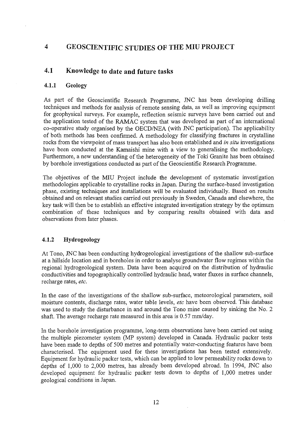### 4 GEOSCIENTIFIC STUDIES OF THE MIU PROJECT

### 4.1 Knowledge to date and future tasks

#### **4.1.1 Geology**

As part of the Geoscientific Research Programme, JNC has been developing drilling techniques and methods for analysis of remote sensing data, as well as improving equipment for geophysical surveys. For example, reflection seismic surveys have been carried out and the application tested of the RAMAC system that was developed as part of an international co-operative study organised by the OECD/NEA (with JNC participation). The applicability of both methods has been confirmed. A methodology for classifying fractures in crystalline rocks from the viewpoint of mass transport has also been established and *in situ* investigations have been conducted at the Kamaishi mine with a view to generalising the methodology. Furthermore, a new understanding of the heterogeneity of the Toki Granite has been obtained by borehole investigations conducted as part of the Geoscientific Research Programme.

The objectives of the MIU Project include the development of systematic investigation methodologies applicable to crystalline rocks in Japan. During the surface-based investigation phase, existing techniques and installations will be evaluated individually. Based on results obtained and on relevant studies carried out previously in Sweden, Canada and elsewhere, the key task will then be to establish an effective integrated investigation strategy by the optimum combination of these techniques and by comparing results obtained with data and observations from later phases.

#### **4.1.2 Hydrogeology**

At Tono, JNC has been conducting hydrogeological investigations of the shallow sub-surface at a hillside location and in boreholes in order to analyse groundwater flow regimes within the regional hydrogeological system. Data have been acquired on the distribution of hydraulic conductivities and topographically controlled hydraulic head, water fluxes in surface channels, recharge rates, *etc.*

In the case of the investigations of the shallow sub-surface, meteorological parameters, soil moisture contents, discharge rates, water table levels, *etc* have been observed. This database was used to study the disturbance in and around the Tono mine caused by sinking the No. 2 shaft. The average recharge rate measured in this area is 0.57 mm/day.

In the borehole investigation programme, long-term observations have been carried out using the multiple piezometer system (MP system) developed in Canada. Hydraulic packer tests have been made to depths of 500 metres and potentially water-conducting features have been characterised. The equipment used for these investigations has been tested extensively. Equipment for hydraulic packer tests, which can be applied to low permeability rocks down to depths of 1,000 to 2,000 metres, has already been developed abroad. In 1994, JNC also developed equipment for hydraulic packer tests down to depths of 1,000 metres under geological conditions in Japan.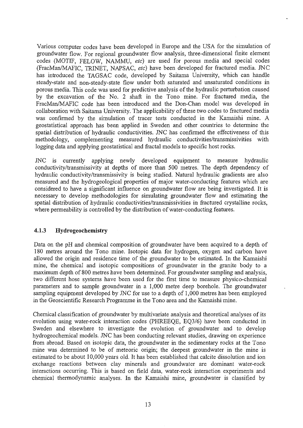Various computer codes have been developed in Europe and the USA for the simulation of groundwater flow. For regional groundwater flow analysis, three-dimensional finite element codes (MOTIF, FELOW, NAMMU, *etc)* are used for porous media and special codes (FracMan/MAFIC, TRINET, NAPSAC, *etc)* have been developed for fractured media. JNC has introduced the TAGSAC code, developed by Saitama University, which can handle steady-state and non-steady-state flow under both saturated and unsaturated conditions in porous media. This code was used for predictive analysis of the hydraulic perturbation caused by the excavation of the No. 2 shaft in the Tono mine. For fractured media, the FracMan/MAFIC code has been introduced and the Don-Chan model was developed in collaboration with Saitama University. The applicability of these two codes to fractured media was confirmed by the simulation of tracer tests conducted in the Kamaishi mine. A geostatistical approach has been applied in Sweden and other countries to determine the spatial distribution of hydraulic conductivities. JNC has confirmed the effectiveness of this methodology, complementing measured hydraulic conductivities/transmissivities with logging data and applying geostatistical and fractal models to specific host rocks.

JNC is currently applying newly developed equipment to measure hydraulic conductivity/transmissivity at depths of more than 500 metres. The depth dependency of hydraulic conductivity/transmissivity is being studied. Natural hydraulic gradients are also measured and the hydrogeological properties of major water-conducting features which are considered to have a significant influence on groundwater flow are being investigated. It is necessary to develop methodologies for simulating groundwater flow and estimating the spatial distribution of hydraulic conductivities/transmissivities in fractured crystalline rocks, where permeability is controlled by the distribution of water-conducting features.

#### 4.1.3 Hydrogeochemistry

Data on the pH and chemical composition of groundwater have been acquired to a depth of 180 metres around the Tono mine. Isotopic data for hydrogen, oxygen and carbon have allowed the origin and residence time of the groundwater to be estimated. In the Kamaishi mine, the chemical and isotopic compositions of groundwater in the granite body to a maximum depth of 800 metres have been determined. For groundwater sampling and analysis, two different hose systems have been used for the first time to measure physico-chemical parameters and to sample groundwater in a 1,000 metre deep borehole. The groundwater sampling equipment developed by JNC for use to a depth of 1,000 metres has been employed in the Geoscientific Research Programme in the Tono area and the Kamaishi mine.

Chemical classification of groundwater by multivariate analysis and theoretical analyses of its evolution using water-rock interaction codes (PHREEQE, EQ3/6) have been conducted in Sweden and elsewhere to investigate the evolution of groundwater and to develop hydrogeochemical models. JNC has been conducting relevant studies, drawing on experience from abroad. Based on isotopic data, the groundwater in the sedimentary rocks at the Tono mine was determined to be of meteoric origin; the deepest groundwater in the mine is estimated to be about 10,000 years old. It has been established that calcite dissolution and ion exchange reactions between clay minerals and groundwater are dominant water-rock interactions occurring. This is based on field data, water-rock interaction experiments and chemical thermodynamic analyses. In the Kamaishi mine, groundwater is classified by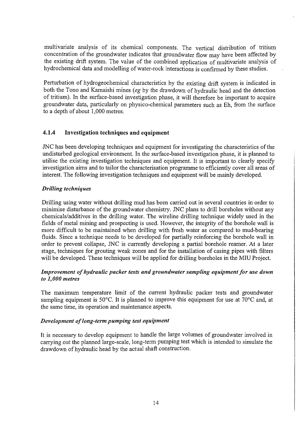multivariate analysis of its chemical components. The vertical distribution of tritium concentration of the groundwater indicates that groundwater flow may have been affected by the existing drift system. The value of the combined application of multivariate analysis of hydrochemical data and modelling of water-rock interactions is confirmed by these studies.

Perturbation of hydrogeochemical characteristics by the existing drift system is indicated in both the Tono and Kamaishi mines *(eg* by the drawdown of hydraulic head and the detection of tritium). In the surface-based investigation phase, it will therefore be important to acquire groundwater data, particularly on physico-chemical parameters such as Eh, from the surface to a depth of about 1,000 metres.

#### **4.1.4 Investigation techniques and equipment**

JNC has been developing techniques and equipment for investigating the characteristics of the undisturbed geological environment. In the surface-based investigation phase, it is planned to utilise the existing investigation techniques and equipment. It is important to clearly specify investigation aims and to tailor the characterisation programme to efficiently cover all areas of interest. The following investigation techniques and equipment will be mainly developed.

#### *Drilling techniques*

Drilling using water without drilling mud has been carried out in several countries in order to minimise disturbance of the groundwater chemistry. JNC plans to drill boreholes without any chemicals/additives in the drilling water. The wireline drilling technique widely used in the fields of metal mining and prospecting is used. However, the integrity of the borehole wall is more difficult to be maintained when drilling with fresh water as compared to mud-bearing fluids. Since a technique needs to be developed for partially reinforcing the borehole wall in order to prevent collapse, JNC is currently developing **a** partial borehole reamer. At a later stage, techniques for grouting weak zones and for the installation of casing pipes with filters will be developed. These techniques will be applied for drilling boreholes in the MIU Project.

#### *Improvement of hydraulic packer tests and groundwater sampling equipment for use down to 1,000 metres*

The maximum temperature limit of the current hydraulic packer tests and groundwater sampling equipment is 50°C. It is planned to improve this equipment for use at 70°C and, at the same time, its operation and maintenance aspects.

#### *Development of long-term pumping test equipment*

It is necessary to develop equipment to handle the large volumes of groundwater involved in carrying out the planned large-scale, long-term pumping test which is intended to simulate the drawdown of hydraulic head by the actual shaft construction.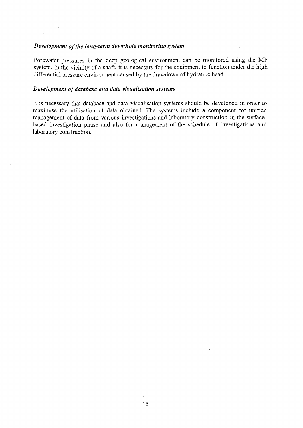#### *Development of the long-term downhole monitoring system*

Porewater pressures in the deep geological environment can be monitored using the MP system. In the vicinity of a shaft, it is necessary for the equipment to function under the high differential pressure environment caused by the drawdown of hydraulic head.

#### *Development of database and data visualisation systems*

It is necessary that database and data visualisation systems should be developed in order to maximise the utilisation of data obtained. The systems include a component for unified management of data from various investigations and laboratory construction in the surfacebased investigation phase and also for management of the schedule of investigations and laboratory construction.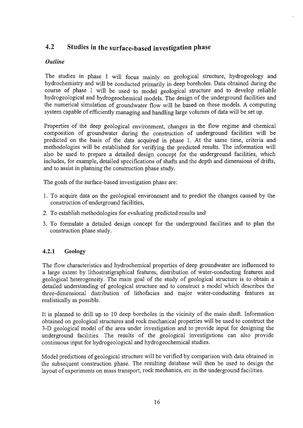### 4.2 Studies in the surface-based investigation phase

#### *Outline*

The studies in phase 1 will focus mainly on geological structure, hydrogeology and hydrochemistry and will be conducted primarily in deep boreholes. Data obtained during the course of phase 1 will be used to model geological structure and to develop reliable hydrogeological and hydrogeochemical models. The design of the underground facilities and the numerical simulation of groundwater flow will be based on these models. A computing system capable of efficiently managing and handling large volumes of data will be set up.

Properties of the deep geological environment, changes in the flow regime and chemical composition of groundwater during the construction of underground facilities will be predicted on the basis of the data acquired in phase 1. At the same time, criteria and methodologies will be established for verifying the predicted results. The information will also be used to prepare a detailed design concept for the underground facilities, which includes, for example, detailed specifications of shafts and the depth and dimensions of drifts, and to assist in planning the construction phase study.

The goals of the surface-based investigation phase are:

- 1. To acquire data on the geological environment and to predict the changes caused by the construction of underground facilities,
- 2. To establish methodologies for evaluating predicted results and
- 3. To formulate a detailed design concept for the underground facilities and to plan the construction phase study.

#### **4.2.1 Geology**

The flow characteristics and hydrochemical properties of deep groundwater are influenced to a large extent by lithostratigraphical features, distribution of water-conducting features and geological heterogeneity. The main goal of the study of geological structure is to obtain a detailed understanding of geological structure and to construct a model which describes the three-dimensional distribution of lithofacies and major water-conducting features as realistically as possible.

It is planned to drill up to 10 deep boreholes in the vicinity of the main shaft. Information obtained on geological structures and rock mechanical properties will be used to construct the 3-D geological model of the area under investigation and to provide input for designing the underground facilities. The results of the geological investigations can also provide continuous input for hydrogeological and hydrogeochemical studies.

Model predictions of geological structure will be verified by comparison with data obtained in the subsequent construction phase. The resulting database will then be used to design the layout of experiments on mass transport, rock mechanics, *etc* in the underground facilities.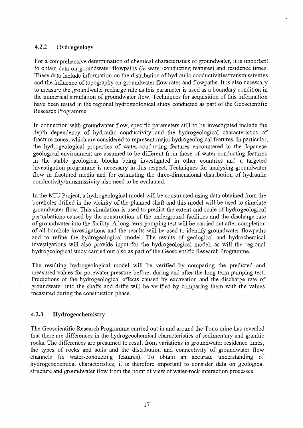#### 4.2.2 Hydrogeology

For a comprehensive determination of chemical characteristics of groundwater, it is important to obtain data on groundwater flowpaths *(ie* water-conducting features) and residence times. These data include information on the distribution of hydraulic conductivities/transmissivities and the influence of topography on groundwater flow rates and flowpaths. It is also necessary to measure the groundwater recharge rate as this parameter is used as a boundary condition in the numerical simulation of groundwater flow. Techniques for acquisition of this information have been tested in the regional hydrogeological study conducted as part of the Geoscientific Research Programme.

In connection with groundwater flow, specific parameters still to be investigated include the depth dependency of hydraulic conductivity and the hydrogeological characteristics of fracture zones, which are considered to represent major hydrogeological features. In particular, the hydrogeological properties of water-conducting features encountered in the Japanese geological environment are assumed to be different from those of water-conducting features in the stable geological blocks being investigated in other countries and a targeted investigation programme is necessary in this respect. Techniques for analysing groundwater flow in fractured media and for estimating the three-dimensional distribution of hydraulic conductivity/transmissiviry also need to be evaluated.

In the MIU Project, a hydrogeological model will be constructed using data obtained from the boreholes drilled in the vicinity of the planned shaft and this model will be used to simulate groundwater flow. This simulation is used to predict the extent and scale of hydrogeological perturbations caused by the construction of the underground facilities and the discharge rate of groundwater into the facility. A long-term pumping test will be carried out after completion of all borehole investigations and the results will be used to identify groundwater flowpaths and to refine the hydrogeological model. The results of geological and hydrochemical investigations will also provide input for the hydrogeological model, as will the regional hydrogeological study carried out also as part of the Geoscientific Research Programme.

The resulting hydrogeological model will be verified by comparing the predicted and measured values for porewater pressure before, during and after the long-term pumping test. Predictions of the hydrogeological effects caused by excavation and the discharge rate of groundwater into the shafts and drifts will be verified by comparing them with the values measured during the construction phase.

#### 4.2.3 Hydrogeochemistry

The Geoscientific Research Programme carried out in and around the Tono mine has revealed that there are differences in the hydrogeochemical characteristics of sedimentary and granitic rocks. The differences are presumed to result from variations in groundwater residence times, the types of rocks and soils and the distribution and connectivity of groundwater flow channels *(ie* water-conducting features). To obtain an accurate understanding of hydrogeochemical characteristics, it is therefore important to consider data on geological structure and groundwater flow from the point of view of water-rock interaction processes.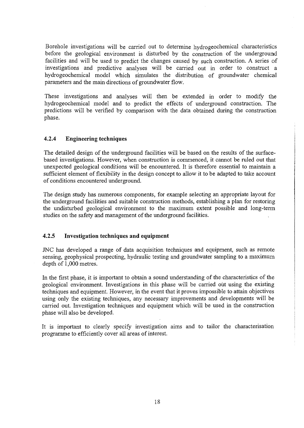Borehole investigations will be carried out to determine hydrogeochemical characteristics before the geological environment is disturbed by the construction of the underground facilities and will be used to predict the changes caused by such construction. A series of investigations and predictive analyses will be carried out in order to construct a hydrogeochemical model which simulates the distribution of groundwater chemical parameters and the main directions of groundwater flow.

These investigations and analyses will then be extended in order to modify the hydrogeochemical model and to predict the effects of underground construction. The predictions will be verified by comparison with the data obtained during the construction phase.

#### **4.2.4 Engineering techniques**

The detailed design of the underground facilities will be based on the results of the surfacebased investigations. However, when construction is commenced, it cannot be ruled out that unexpected geological conditions will be encountered. It is therefore essential to maintain a sufficient element of flexibility in the design concept to allow it to be adapted to take account of conditions encountered underground.

The design study has numerous components, for example selecting an appropriate layout for the underground facilities and suitable construction methods, establishing a plan for restoring the undisturbed geological environment to the maximum extent possible and long-term studies on the safety and management of the underground facilities.

#### **4.2.5 Investigation techniques and equipment**

JNC has developed a range of data acquisition techniques and equipment, such as remote sensing, geophysical prospecting, hydraulic testing and groundwater sampling to a maximum depth of 1,000 metres.

In the first phase, it is important to obtain a sound understanding of the characteristics of the geological environment. Investigations in this phase will be carried out using the existing techniques and equipment. However, in the event that it proves impossible to attain objectives using only the existing techniques, any necessary improvements and developments will be carried out. Investigation techniques and equipment which will be used in the construction phase will also be developed.

It is important to clearly specify investigation aims and to tailor the characterisation programme to efficiently cover all areas of interest.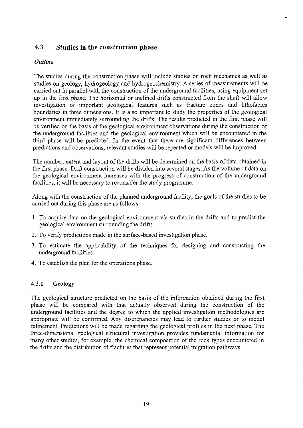### 4.3 Studies in the construction phase

#### *Outline*

The studies during the construction phase will include studies on rock mechanics as well as studies on geology, hydrogeology and hydrogeochemistry. A series of measurements will be carried out in parallel with the construction of the underground facilities, using equipment set up in the first phase. The horizontal or inclined drifts constructed from the shaft will allow investigation of important geological features such as fracture zones and lithofacies boundaries in three dimensions. It is also important to study the properties of the geological environment immediately surrounding the drifts. The results predicted in the first phase will be verified on the basis of the geological environment observations during the construction of the underground facilities and the geological environment which will be encountered in the third phase will be predicted. In the event that there are significant differences between predictions and observations, relevant studies will be repeated or models will be improved.

The number, extent and layout of the drifts will be determined on the basis of data obtained in the first phase. Drift construction will be divided into several stages. As the volume of data on the geological environment increases with the progress of construction of the underground facilities, it will be necessary to reconsider the study programme.

Along with the construction of the planned underground facility, the goals of the studies to be carried out during this phase are as follows:

- 1. To acquire data on the geological environment via studies in the drifts and to predict the geological environment surrounding the drifts.
- 2. To verify predictions made in the surface-based investigation phase.
- 3. To estimate the applicability of the techniques for designing and constructing the underground facilities.
- 4. To establish the plan for the operations phase.

#### 4.3.1 Geology

The geological structure predicted on the basis of the information obtained during the first phase will be compared with that actually observed during the construction of the underground facilities and the degree to which the applied investigation methodologies are appropriate will be confirmed. Any discrepancies may lead to further studies or to model refinement. Predictions will be made regarding the geological profiles in the next phase. The three-dimensional geological structural investigation provides fundamental information for many other studies, for example, the chemical composition of the rock types encountered in the drifts and the distribution of fractures that represent potential migration pathways.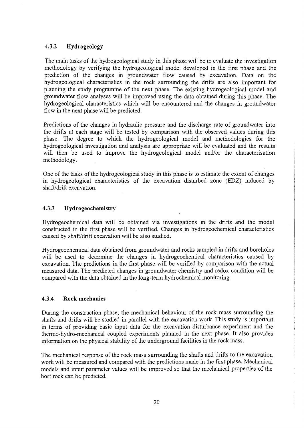#### 4.3.2 **Hydrogeology**

The main tasks of the hydrogeological study in this phase will be to evaluate the investigation methodology by verifying the hydrogeological model developed in the first phase and the prediction of the changes in groundwater flow caused by excavation. Data on the hydrogeological characteristics in the rock surrounding the drifts are also important for planning the study programme of the next phase. The existing hydrogeological model and groundwater flow analyses will be improved using the data obtained during this phase. The hydrogeological characteristics which will be encountered and the changes in groundwater flow in the next phase will be predicted.

Predictions of the changes in hydraulic pressure and the discharge rate of groundwater into the drifts at each stage will be tested by comparison with the observed values during this phase. The degree to which the hydrogeological model and methodologies for the hydrogeological investigation and analysis are appropriate will be evaluated and the results will then be used to improve the hydrogeological model and/or the characterisation methodology.

One of the tasks of the hydrogeological study in this phase is to estimate the extent of changes in hydrogeological characteristics of the excavation disturbed zone (EDZ) induced by shaft/drift excavation.

#### **4.3.3 Hydrogeochemistry**

Hydrogeochemical data will be obtained via investigations in the drifts and the model constructed in the first phase will be verified. Changes in hydrogeochemical characteristics caused by shaft/drift excavation will be also studied.

Hydrogeochemical data obtained from groundwater and rocks sampled in drifts and boreholes will be used to determine the changes in hydrogeochemical characteristics caused by excavation. The predictions in the first phase will be verified by comparison with the actual measured data. The predicted changes in groundwater chemistry and redox condition will be compared with the data obtained in the long-term hydrochemical monitoring.

#### **4.3.4 Rock mechanics**

During the construction phase, the mechanical behaviour of the rock mass surrounding the shafts and drifts will be studied in parallel with the excavation work. This study is important in terms of providing basic input data for the excavation disturbance experiment and the thermo-hydro-mechanical coupled experiments planned in the next phase. It also provides information on the physical stability of the underground facilities in the rock mass.

The mechanical response of the rock mass surrounding the shafts and drifts to the excavation work will be measured and compared with the predictions made in the first phase. Mechanical models and input parameter values will be improved so that the mechanical properties of the host rock can be predicted.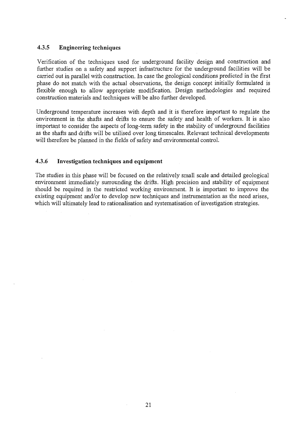#### **4.3.5 Engineering techniques**

Verification of the techniques used for underground facility design and construction and further studies on a safety and support infrastructure for the underground facilities will be carried out in parallel with construction. In case the geological conditions predicted in the first phase do not match with the actual observations, the design concept initially formulated is flexible enough to allow appropriate modification. Design methodologies and required construction materials and techniques will be also further developed.

Underground temperature increases with depth and it is therefore important to regulate the environment in the shafts and drifts to ensure the safety and health of workers. It is also important to consider the aspects of long-term safety in the stability of underground facilities as the shafts and drifts will be utilised over long timescales. Relevant technical developments will therefore be planned in the fields of safety and environmental control.

#### **4.3.6 Investigation techniques and equipment**

The studies in this phase will be focused on the relatively small scale and detailed geological environment immediately surrounding the drifts. High precision and stability of equipment should be required in the restricted working environment. It is important to improve the existing equipment and/or to develop new techniques and instrumentation as the need arises, which will ultimately lead to rationalisation and systematisation of investigation strategies.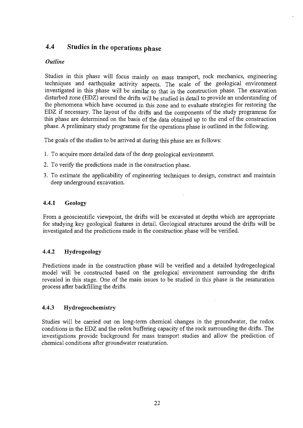## 4.4 Studies in the operations phase

#### *Outline*

Studies in this phase will focus mainly on mass transport, rock mechanics, engineering techniques and earthquake activity aspects. The scale of the geological environment investigated in this phase will be similar to that in the construction phase. The excavation disturbed zone (EDZ) around the drifts will be studied in detail to provide an understanding of the phenomena which have occurred in this zone and to evaluate strategies for restoring the EDZ if necessary. The layout of the drifts and the components of the study programme for this phase are determined on the basis of the data obtained up to the end of the construction phase. A preliminary study programme for the operations phase is outlined in the following.

The goals of the studies to be arrived at during this phase are as follows:

- 1. To acquire more detailed data of the deep geological environment.
- 2. To verify the predictions made in the construction phase.
- 3. To estimate the applicability of engineering techniques to design, construct and maintain deep underground excavation.

#### **4.4.1 Geology**

From a geoscientific viewpoint, the drifts will be excavated at depths which are appropriate for studying key geological features in detail. Geological structures around the drifts will be investigated and the predictions made in the construction phase will be verified.

#### **4.4.2 Hydrogeology**

Predictions made in the construction phase will be verified and a detailed hydrogeological model will be constructed based on the geological environment surrounding the drifts revealed in this stage. One of the main issues to be studied in this phase is the resaturation process after backfilling the drifts.

#### **4.4.3 Hydrogeochemistry**

Studies will be carried out on long-term chemical changes in the groundwater, the redox conditions in the EDZ and the redox buffering capacity of the rock surrounding the drifts. The investigations provide background for mass transport studies and allow the prediction of chemical conditions after groundwater resaturation.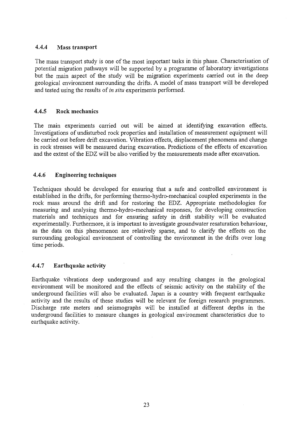#### **4.4.4 Mass transport**

The mass transport study is one of the most important tasks in this phase. Characterisation of potential migration pathways will be supported by a programme of laboratory investigations but the main aspect of the study will be migration experiments carried out in the deep geological environment surrounding the drifts. A model of mass transport will be developed and tested using the results of *in situ* experiments performed.

#### **4.4.5 Rock mechanics**

The main experiments carried out will be aimed at identifying excavation effects. Investigations of undisturbed rock properties and installation of measurement equipment will be carried out before drift excavation. Vibration effects, displacement phenomena and change in rock stresses will be measured during excavation. Predictions of the effects of excavation and the extent of the EDZ will be also verified by the measurements made after excavation.

#### **4.4.6 Engineering techniques**

Techniques should be developed for ensuring that a safe and controlled environment is established in the drifts, for performing thermo-hydro-mechanical coupled experiments in the rock mass around the drift and for restoring the EDZ. Appropriate methodologies for measuring and analysing thermo-hydro-mechanical responses, for developing construction materials and techniques and for ensuring safety in drift stability will be evaluated experimentally. Furthermore, it is important to investigate groundwater resaturation behaviour, as the data on this phenomenon are relatively sparse, and to clarify the effects on the surrounding geological environment of controlling the environment in the drifts over long time periods.

#### **4.4.7 Earthquake activity**

Earthquake vibrations deep underground and any resulting changes in the geological environment will be monitored and the effects of seismic activity on the stability of the underground facilities will also be evaluated. Japan is a country with frequent earthquake activity and the results of these studies will be relevant for foreign research programmes. Discharge rate meters and seismographs will be installed at different depths in the underground facilities to measure changes in geological environment characteristics due to earthquake activity.